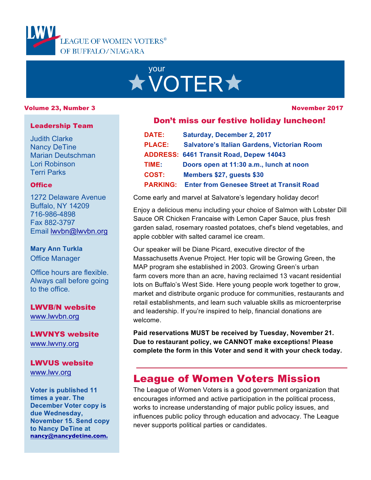

# your **XVOTER\***

#### Volume 23, Number 3

#### November 2017

#### Leadership Team

Judith Clarke Nancy DeTine Marian Deutschman Lori Robinson Terri Parks

#### **Office**

1272 Delaware Avenue Buffalo, NY 14209 716-986-4898 Fax 882-3797 Email lwvbn@lwvbn.org

#### **Mary Ann Turkla** Office Manager

Office hours are flexible. Always call before going to the office.

LWVB/N website www.lwvbn.org

LWVNYS website www.lwvny.org

LWVUS website www.lwv.org

**Voter is published 11 times a year. The December Voter copy is due Wednesday, November 15. Send copy to Nancy DeTine at nancy@nancydetine.com.**

#### Don't miss our festive holiday luncheon!

| <b>DATE:</b>    | Saturday, December 2, 2017                         |
|-----------------|----------------------------------------------------|
| <b>PLACE:</b>   | <b>Salvatore's Italian Gardens, Victorian Room</b> |
|                 | <b>ADDRESS: 6461 Transit Road, Depew 14043</b>     |
| TIME:           | Doors open at 11:30 a.m., lunch at noon            |
| <b>COST:</b>    | Members \$27, quests \$30                          |
| <b>PARKING:</b> | <b>Enter from Genesee Street at Transit Road</b>   |

Come early and marvel at Salvatore's legendary holiday decor!

Enjoy a delicious menu including your choice of Salmon with Lobster Dill Sauce OR Chicken Francaise with Lemon Caper Sauce, plus fresh garden salad, rosemary roasted potatoes, chef's blend vegetables, and apple cobbler with salted caramel ice cream.

Our speaker will be Diane Picard, executive director of the Massachusetts Avenue Project. Her topic will be Growing Green, the MAP program she established in 2003. Growing Green's urban farm covers more than an acre, having reclaimed 13 vacant residential lots on Buffalo's West Side. Here young people work together to grow, market and distribute organic produce for communities, restaurants and retail establishments, and learn such valuable skills as microenterprise and leadership. If you're inspired to help, financial donations are welcome.

**Paid reservations MUST be received by Tuesday, November 21. Due to restaurant policy, we CANNOT make exceptions! Please complete the form in this Voter and send it with your check today***.*

## League of Women Voters Mission

The League of Women Voters is a good government organization that encourages informed and active participation in the political process, works to increase understanding of major public policy issues, and influences public policy through education and advocacy. The League never supports political parties or candidates.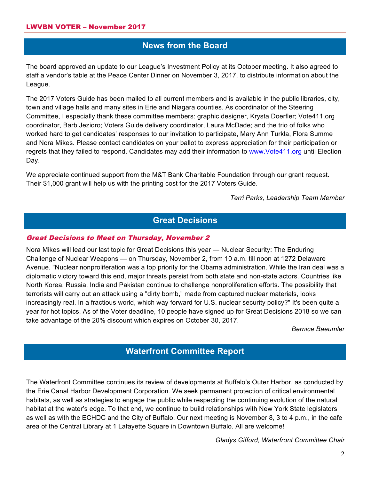## **News from the Board**

The board approved an update to our League's Investment Policy at its October meeting. It also agreed to staff a vendor's table at the Peace Center Dinner on November 3, 2017, to distribute information about the League.

The 2017 Voters Guide has been mailed to all current members and is available in the public libraries, city, town and village halls and many sites in Erie and Niagara counties. As coordinator of the Steering Committee, I especially thank these committee members: graphic designer, Krysta Doerfler; Vote411.org coordinator, Barb Jezioro; Voters Guide delivery coordinator, Laura McDade; and the trio of folks who worked hard to get candidates' responses to our invitation to participate, Mary Ann Turkla, Flora Summe and Nora Mikes. Please contact candidates on your ballot to express appreciation for their participation or regrets that they failed to respond. Candidates may add their information to www.Vote411.org until Election Day.

We appreciate continued support from the M&T Bank Charitable Foundation through our grant request. Their \$1,000 grant will help us with the printing cost for the 2017 Voters Guide.

*Terri Parks, Leadership Team Member*

### **Great Decisions**

#### Great Decisions to Meet on Thursday, November 2

Nora Mikes will lead our last topic for Great Decisions this year — Nuclear Security: The Enduring Challenge of Nuclear Weapons — on Thursday, November 2, from 10 a.m. till noon at 1272 Delaware Avenue. "Nuclear nonproliferation was a top priority for the Obama administration. While the Iran deal was a diplomatic victory toward this end, major threats persist from both state and non-state actors. Countries like North Korea, Russia, India and Pakistan continue to challenge nonproliferation efforts. The possibility that terrorists will carry out an attack using a "dirty bomb," made from captured nuclear materials, looks increasingly real. In a fractious world, which way forward for U.S. nuclear security policy?" It's been quite a year for hot topics. As of the Voter deadline, 10 people have signed up for Great Decisions 2018 so we can take advantage of the 20% discount which expires on October 30, 2017.

*Bernice Baeumler*

## **Waterfront Committee Report**

The Waterfront Committee continues its review of developments at Buffalo's Outer Harbor, as conducted by the Erie Canal Harbor Development Corporation. We seek permanent protection of critical environmental habitats, as well as strategies to engage the public while respecting the continuing evolution of the natural habitat at the water's edge. To that end, we continue to build relationships with New York State legislators as well as with the ECHDC and the City of Buffalo. Our next meeting is November 8, 3 to 4 p.m., in the cafe area of the Central Library at 1 Lafayette Square in Downtown Buffalo. All are welcome!

*Gladys Gifford, Waterfront Committee Chair*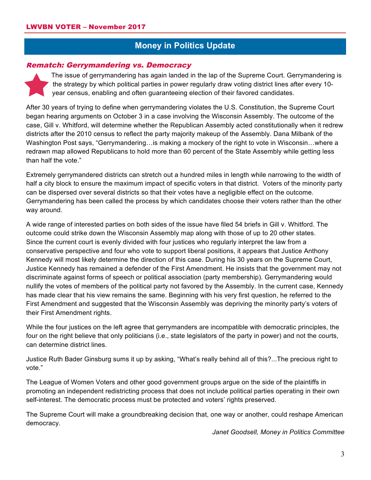## **Money in Politics Update**

#### Rematch: Gerrymandering vs. Democracy

The issue of gerrymandering has again landed in the lap of the Supreme Court. Gerrymandering is the strategy by which political parties in power regularly draw voting district lines after every 10 year census, enabling and often guaranteeing election of their favored candidates.

After 30 years of trying to define when gerrymandering violates the U.S. Constitution, the Supreme Court began hearing arguments on October 3 in a case involving the Wisconsin Assembly. The outcome of the case, Gill v. Whitford, will determine whether the Republican Assembly acted constitutionally when it redrew districts after the 2010 census to reflect the party majority makeup of the Assembly. Dana Milbank of the Washington Post says, "Gerrymandering…is making a mockery of the right to vote in Wisconsin…where a redrawn map allowed Republicans to hold more than 60 percent of the State Assembly while getting less than half the vote."

Extremely gerrymandered districts can stretch out a hundred miles in length while narrowing to the width of half a city block to ensure the maximum impact of specific voters in that district. Voters of the minority party can be dispersed over several districts so that their votes have a negligible effect on the outcome. Gerrymandering has been called the process by which candidates choose their voters rather than the other way around.

A wide range of interested parties on both sides of the issue have filed 54 briefs in Gill v. Whitford. The outcome could strike down the Wisconsin Assembly map along with those of up to 20 other states. Since the current court is evenly divided with four justices who regularly interpret the law from a conservative perspective and four who vote to support liberal positions, it appears that Justice Anthony Kennedy will most likely determine the direction of this case. During his 30 years on the Supreme Court, Justice Kennedy has remained a defender of the First Amendment. He insists that the government may not discriminate against forms of speech or political association (party membership). Gerrymandering would nullify the votes of members of the political party not favored by the Assembly. In the current case, Kennedy has made clear that his view remains the same. Beginning with his very first question, he referred to the First Amendment and suggested that the Wisconsin Assembly was depriving the minority party's voters of their First Amendment rights.

While the four justices on the left agree that gerrymanders are incompatible with democratic principles, the four on the right believe that only politicians (i.e., state legislators of the party in power) and not the courts, can determine district lines.

Justice Ruth Bader Ginsburg sums it up by asking, "What's really behind all of this?...The precious right to vote."

The League of Women Voters and other good government groups argue on the side of the plaintiffs in promoting an independent redistricting process that does not include political parties operating in their own self-interest. The democratic process must be protected and voters' rights preserved.

The Supreme Court will make a groundbreaking decision that, one way or another, could reshape American democracy.

*Janet Goodsell, Money in Politics Committee*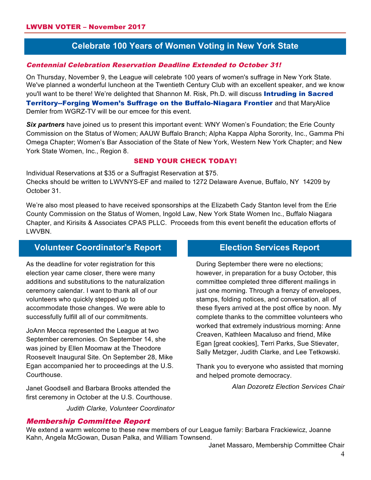## **Celebrate 100 Years of Women Voting in New York State**

#### Centennial Celebration Reservation Deadline Extended to October 31!

On Thursday, November 9, the League will celebrate 100 years of women's suffrage in New York State. We've planned a wonderful luncheon at the Twentieth Century Club with an excellent speaker, and we know you'll want to be there! We're delighted that Shannon M. Risk, Ph.D. will discuss **Intruding in Sacred** 

Territory--Forging Women's Suffrage on the Buffalo-Niagara Frontier and that MaryAlice Demler from WGRZ-TV will be our emcee for this event.

*Six partners* have joined us to present this important event: WNY Women's Foundation; the Erie County Commission on the Status of Women; AAUW Buffalo Branch; Alpha Kappa Alpha Sorority, Inc., Gamma Phi Omega Chapter; Women's Bar Association of the State of New York, Western New York Chapter; and New York State Women, Inc., Region 8.

#### SEND YOUR CHECK TODAY!

Individual Reservations at \$35 or a Suffragist Reservation at \$75. Checks should be written to LWVNYS-EF and mailed to 1272 Delaware Avenue, Buffalo, NY 14209 by October 31.

We're also most pleased to have received sponsorships at the Elizabeth Cady Stanton level from the Erie County Commission on the Status of Women, Ingold Law, New York State Women Inc., Buffalo Niagara Chapter, and Kirisits & Associates CPAS PLLC. Proceeds from this event benefit the education efforts of LWVBN.

## **Volunteer Coordinator's Report**

As the deadline for voter registration for this election year came closer, there were many additions and substitutions to the naturalization ceremony calendar. I want to thank all of our volunteers who quickly stepped up to accommodate those changes. We were able to successfully fulfill all of our commitments.

JoAnn Mecca represented the League at two September ceremonies. On September 14, she was joined by Ellen Moomaw at the Theodore Roosevelt Inaugural Site. On September 28, Mike Egan accompanied her to proceedings at the U.S. **Courthouse** 

Janet Goodsell and Barbara Brooks attended the first ceremony in October at the U.S. Courthouse.

*Judith Clarke, Volunteer Coordinator*

## **Election Services Report**

During September there were no elections; however, in preparation for a busy October, this committee completed three different mailings in just one morning. Through a frenzy of envelopes, stamps, folding notices, and conversation, all of these flyers arrived at the post office by noon. My complete thanks to the committee volunteers who worked that extremely industrious morning: Anne Creaven, Kathleen Macaluso and friend, Mike Egan [great cookies], Terri Parks, Sue Stievater, Sally Metzger, Judith Clarke, and Lee Tetkowski.

Thank you to everyone who assisted that morning and helped promote democracy.

*Alan Dozoretz Election Services Chair*

#### Membership Committee Report

We extend a warm welcome to these new members of our League family: Barbara Frackiewicz, Joanne Kahn, Angela McGowan, Dusan Palka, and William Townsend.

Janet Massaro, Membership Committee Chair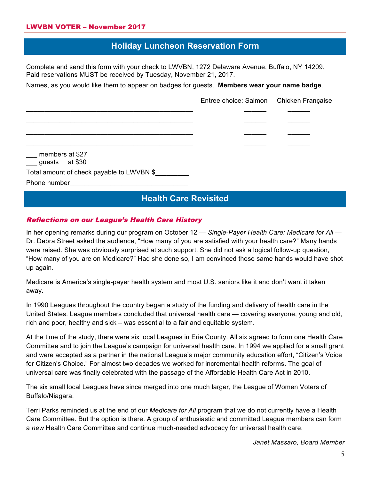## **Holiday Luncheon Reservation Form**

Complete and send this form with your check to LWVBN, 1272 Delaware Avenue, Buffalo, NY 14209. Paid reservations MUST be received by Tuesday, November 21, 2017.

Names, as you would like them to appear on badges for guests. **Members wear your name badge**.

|                                                    | Entree choice: Salmon Chicken Française |
|----------------------------------------------------|-----------------------------------------|
|                                                    |                                         |
|                                                    |                                         |
|                                                    |                                         |
| __ members at \$27<br>$\frac{1}{2}$ guests at \$30 |                                         |
| Total amount of check payable to LWVBN \$          |                                         |
| Phone number                                       |                                         |

## **Health Care Revisited**

#### Reflections on our League's Health Care History

In her opening remarks during our program on October 12 — *Single-Payer Health Care: Medicare for All* — Dr. Debra Street asked the audience, "How many of you are satisfied with your health care?" Many hands were raised. She was obviously surprised at such support. She did not ask a logical follow-up question, "How many of you are on Medicare?" Had she done so, I am convinced those same hands would have shot up again.

Medicare is America's single-payer health system and most U.S. seniors like it and don't want it taken away.

In 1990 Leagues throughout the country began a study of the funding and delivery of health care in the United States. League members concluded that universal health care — covering everyone, young and old, rich and poor, healthy and sick – was essential to a fair and equitable system.

At the time of the study, there were six local Leagues in Erie County. All six agreed to form one Health Care Committee and to join the League's campaign for universal health care. In 1994 we applied for a small grant and were accepted as a partner in the national League's major community education effort, "Citizen's Voice for Citizen's Choice." For almost two decades we worked for incremental health reforms. The goal of universal care was finally celebrated with the passage of the Affordable Health Care Act in 2010.

The six small local Leagues have since merged into one much larger, the League of Women Voters of Buffalo/Niagara.

Terri Parks reminded us at the end of our *Medicare for All* program that we do not currently have a Health Care Committee. But the option is there. A group of enthusiastic and committed League members can form a *new* Health Care Committee and continue much-needed advocacy for universal health care.

*Janet Massaro, Board Member*